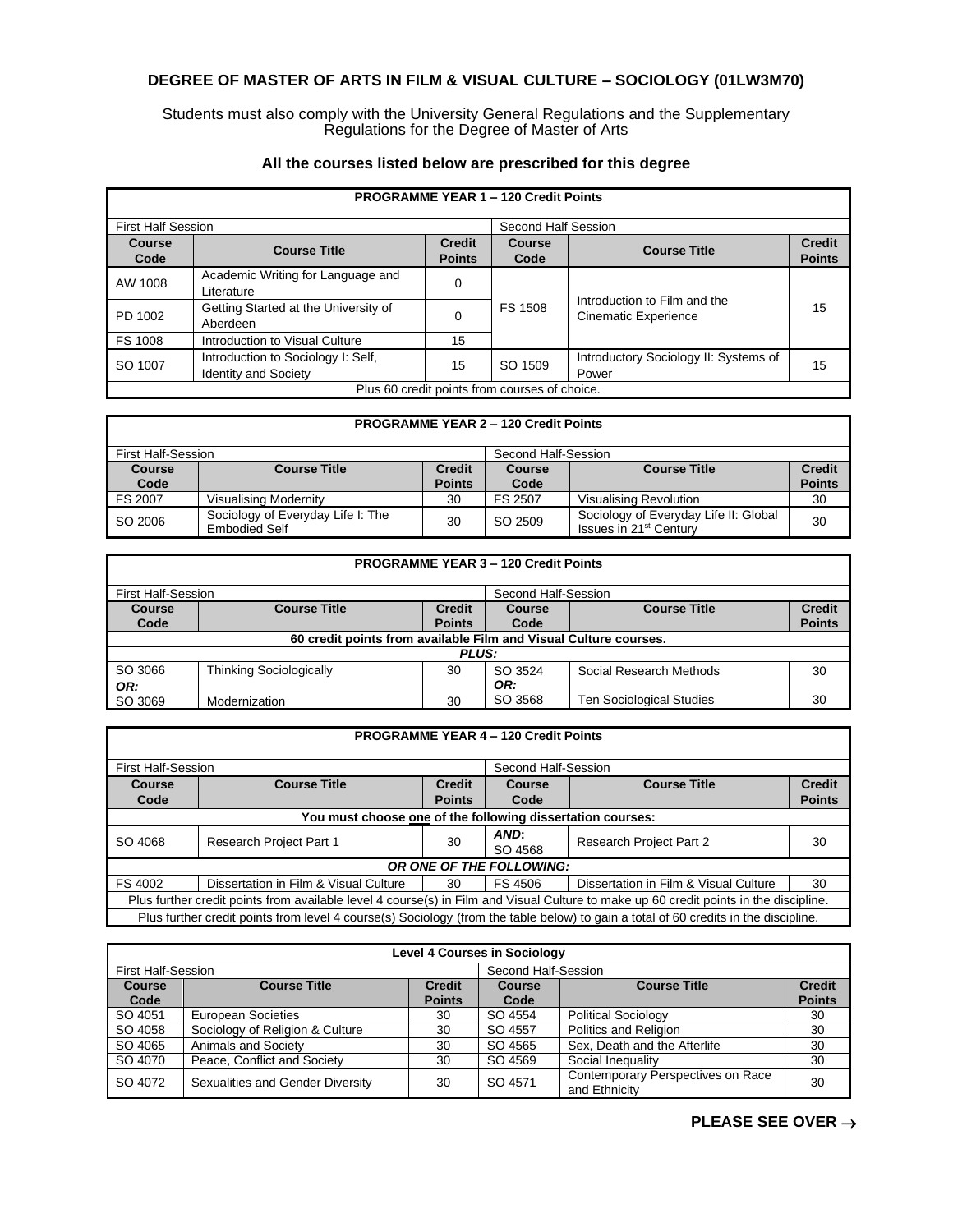## **DEGREE OF MASTER OF ARTS IN FILM & VISUAL CULTURE – SOCIOLOGY (01LW3M70)**

Students must also comply with the University General Regulations and the Supplementary Regulations for the Degree of Master of Arts

|                           | <b>PROGRAMME YEAR 1 - 120 Credit Points</b>                       |                                |                                               |                                                             |                                |  |  |
|---------------------------|-------------------------------------------------------------------|--------------------------------|-----------------------------------------------|-------------------------------------------------------------|--------------------------------|--|--|
| <b>First Half Session</b> |                                                                   |                                | Second Half Session                           |                                                             |                                |  |  |
| Course<br>Code            | <b>Course Title</b>                                               | <b>Credit</b><br><b>Points</b> | Course<br>Code                                | <b>Course Title</b>                                         | <b>Credit</b><br><b>Points</b> |  |  |
| AW 1008                   | Academic Writing for Language and<br>Literature                   | 0                              |                                               |                                                             |                                |  |  |
| PD 1002                   | Getting Started at the University of<br>Aberdeen                  | $\Omega$                       | FS 1508                                       | Introduction to Film and the<br><b>Cinematic Experience</b> | 15                             |  |  |
| FS 1008                   | Introduction to Visual Culture                                    | 15                             |                                               |                                                             |                                |  |  |
| SO 1007                   | Introduction to Sociology I: Self,<br><b>Identity and Society</b> | 15                             | SO 1509                                       | Introductory Sociology II: Systems of<br>Power              | 15                             |  |  |
|                           |                                                                   |                                | Plus 60 credit points from courses of choice. |                                                             |                                |  |  |

## **All the courses listed below are prescribed for this degree**

## **PROGRAMME YEAR 2 – 120 Credit Points** First Half-Session Second Half-Session<br> **Course Course Title** Course Course Second Half-Session **Course Code**<br>FS 2007 **Course Title Points Course Code Course Title Credit Points** Visualising Modernity **1998 1999 1999 1999 1999 1999 1999 1999 1999 1999 1999 1999 1999 1999 1999 1999 1999 1999 1999 1999 1999 1999 1999 1999 1999 1999 1999 1999 199** SO 2006 Sociology of Everyday Life I: The  $\begin{array}{|c|c|c|c|c|}\n\hline \text{Embedied Self} & & & 30 & & \text{SO 2509}\n\end{array}$ Sociology of Everyday Life II: Global | 30<br>Issues in 21st Century

| <b>PROGRAMME YEAR 3 - 120 Credit Points</b>                      |                                |                                |                       |                                 |                                |  |
|------------------------------------------------------------------|--------------------------------|--------------------------------|-----------------------|---------------------------------|--------------------------------|--|
| <b>First Half-Session</b>                                        |                                |                                | Second Half-Session   |                                 |                                |  |
| Course<br>Code                                                   | <b>Course Title</b>            | <b>Credit</b><br><b>Points</b> | <b>Course</b><br>Code | <b>Course Title</b>             | <b>Credit</b><br><b>Points</b> |  |
| 60 credit points from available Film and Visual Culture courses. |                                |                                |                       |                                 |                                |  |
| <b>PLUS:</b>                                                     |                                |                                |                       |                                 |                                |  |
| SO 3066                                                          | <b>Thinking Sociologically</b> | 30                             | SO 3524               | Social Research Methods         | 30                             |  |
| OR:                                                              |                                |                                | OR:                   |                                 |                                |  |
| SO 3069                                                          | Modernization                  | 30                             | SO 3568               | <b>Ten Sociological Studies</b> | 30                             |  |

| <b>PROGRAMME YEAR 4 - 120 Credit Points</b>                                                                                           |                                       |                     |                 |                                       |               |  |
|---------------------------------------------------------------------------------------------------------------------------------------|---------------------------------------|---------------------|-----------------|---------------------------------------|---------------|--|
| <b>First Half-Session</b>                                                                                                             |                                       | Second Half-Session |                 |                                       |               |  |
| Course                                                                                                                                | <b>Course Title</b>                   | <b>Credit</b>       | Course          | <b>Course Title</b>                   | <b>Credit</b> |  |
| Code                                                                                                                                  |                                       | <b>Points</b>       | Code            |                                       | <b>Points</b> |  |
| You must choose one of the following dissertation courses:                                                                            |                                       |                     |                 |                                       |               |  |
| SO 4068                                                                                                                               | <b>Research Project Part 1</b>        | 30                  | AND:<br>SO 4568 | <b>Research Project Part 2</b>        | 30            |  |
| OR ONE OF THE FOLLOWING:                                                                                                              |                                       |                     |                 |                                       |               |  |
| FS 4002                                                                                                                               | Dissertation in Film & Visual Culture | 30                  | FS 4506         | Dissertation in Film & Visual Culture | 30            |  |
| Plus further credit points from available level 4 course(s) in Film and Visual Culture to make up 60 credit points in the discipline. |                                       |                     |                 |                                       |               |  |
| Plus further credit points from level 4 course(s) Sociology (from the table below) to gain a total of 60 credits in the discipline.   |                                       |                     |                 |                                       |               |  |

| <b>Level 4 Courses in Sociology</b> |                                  |                                |                     |                                                    |                                |  |
|-------------------------------------|----------------------------------|--------------------------------|---------------------|----------------------------------------------------|--------------------------------|--|
| <b>First Half-Session</b>           |                                  |                                | Second Half-Session |                                                    |                                |  |
| <b>Course</b><br>Code               | <b>Course Title</b>              | <b>Credit</b><br><b>Points</b> | Course<br>Code      | <b>Course Title</b>                                | <b>Credit</b><br><b>Points</b> |  |
| SO 4051                             | European Societies               | 30                             | SO 4554             | <b>Political Sociology</b>                         | 30                             |  |
| SO 4058                             | Sociology of Religion & Culture  | 30                             | SO 4557             | Politics and Religion                              | 30                             |  |
| SO 4065                             | Animals and Society              | 30                             | SO 4565             | Sex, Death and the Afterlife                       | 30                             |  |
| SO 4070                             | Peace, Conflict and Society      | 30                             | SO 4569             | Social Inequality                                  | 30                             |  |
| SO 4072                             | Sexualities and Gender Diversity | 30                             | SO 4571             | Contemporary Perspectives on Race<br>and Ethnicity | 30                             |  |

## **PLEASE SEE OVER** →